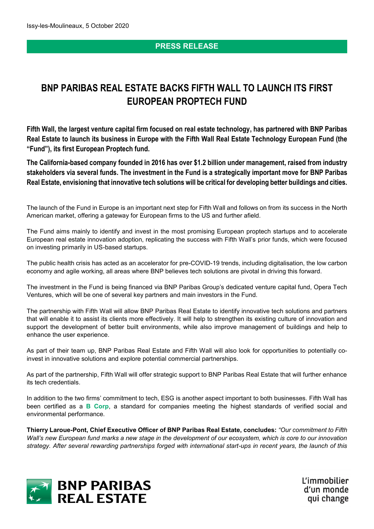# **PRESS RELEASE**

# **BNP PARIBAS REAL ESTATE BACKS FIFTH WALL TO LAUNCH ITS FIRST EUROPEAN PROPTECH FUND**

**Fifth Wall, the largest venture capital firm focused on real estate technology, has partnered with BNP Paribas Real Estate to launch its business in Europe with the Fifth Wall Real Estate Technology European Fund (the "Fund"), its first European Proptech fund.** 

**The California-based company founded in 2016 has over \$1.2 billion under management, raised from industry stakeholders via several funds. The investment in the Fund is a strategically important move for BNP Paribas Real Estate, envisioning that innovative tech solutions will be critical for developing better buildings and cities.** 

The launch of the Fund in Europe is an important next step for Fifth Wall and follows on from its success in the North American market, offering a gateway for European firms to the US and further afield.

The Fund aims mainly to identify and invest in the most promising European proptech startups and to accelerate European real estate innovation adoption, replicating the success with Fifth Wall's prior funds, which were focused on investing primarily in US-based startups.

The public health crisis has acted as an accelerator for pre-COVID-19 trends, including digitalisation, the low carbon economy and agile working, all areas where BNP believes tech solutions are pivotal in driving this forward.

The investment in the Fund is being financed via BNP Paribas Group's dedicated venture capital fund, Opera Tech Ventures, which will be one of several key partners and main investors in the Fund.

The partnership with Fifth Wall will allow BNP Paribas Real Estate to identify innovative tech solutions and partners that will enable it to assist its clients more effectively. It will help to strengthen its existing culture of innovation and support the development of better built environments, while also improve management of buildings and help to enhance the user experience.

As part of their team up, BNP Paribas Real Estate and Fifth Wall will also look for opportunities to potentially coinvest in innovative solutions and explore potential commercial partnerships.

As part of the partnership, Fifth Wall will offer strategic support to BNP Paribas Real Estate that will further enhance its tech credentials.

In addition to the two firms' commitment to tech, ESG is another aspect important to both businesses. Fifth Wall has been certified as a **[B Corp](https://bcorporation.eu/about-b-lab/country-partner/france)**, a standard for companies meeting the highest standards of verified social and environmental performance.

**Thierry Laroue-Pont, Chief Executive Officer of BNP Paribas Real Estate, concludes:** *"Our commitment to Fifth Wall's new European fund marks a new stage in the development of our ecosystem, which is core to our innovation strategy. After several rewarding partnerships forged with international start-ups in recent years, the launch of this* 



L'immobilier d'un monde qui change